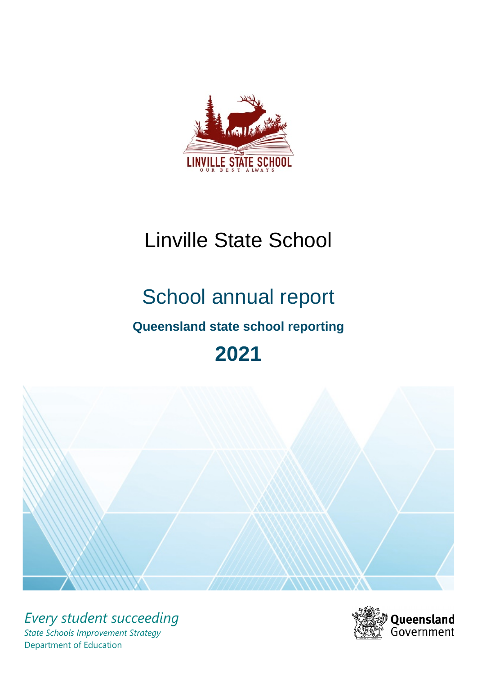

# Linville State School

# School annual report **Queensland state school reporting**





*Every student succeeding State Schools Improvement Strategy* Department of Education

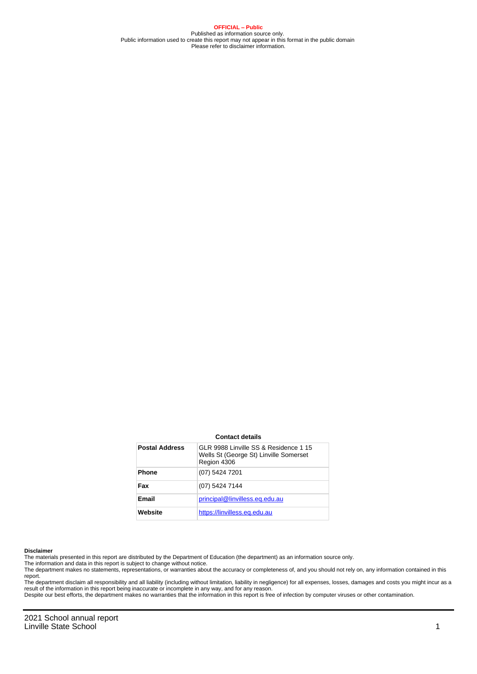**OFFICIAL – Public** Published as information source only. Public information used to create this report may not appear in this format in the public domain Please refer to disclaimer information.

#### **Contact details**

| <b>Postal Address</b> | GLR 9988 Linville SS & Residence 1 15<br>Wells St (George St) Linville Somerset<br>Region 4306 |
|-----------------------|------------------------------------------------------------------------------------------------|
| <b>Phone</b>          | (07) 5424 7201                                                                                 |
| Fax                   | (07) 5424 7144                                                                                 |
| Email                 | principal@linvilless.eq.edu.au                                                                 |
| Website               | https://linvilless.eq.edu.au                                                                   |

#### **Disclaimer**

The materials presented in this report are distributed by the Department of Education (the department) as an information source only.

The information and data in this report is subject to change without notice.

The department makes no statements, representations, or warranties about the accuracy or completeness of, and you should not rely on, any information contained in this report.

The department disclaim all responsibility and all liability (including without limitation, liability in negligence) for all expenses, losses, damages and costs you might incur as a<br>result of the information in this report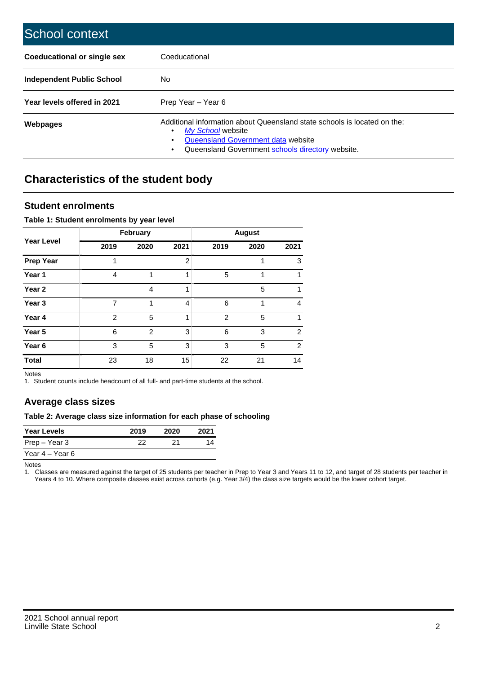| School context                   |                                                                                                                                                                                              |
|----------------------------------|----------------------------------------------------------------------------------------------------------------------------------------------------------------------------------------------|
| Coeducational or single sex      | Coeducational                                                                                                                                                                                |
| <b>Independent Public School</b> | No.                                                                                                                                                                                          |
| Year levels offered in 2021      | Prep Year - Year 6                                                                                                                                                                           |
| Webpages                         | Additional information about Queensland state schools is located on the:<br>My School website<br>Queensland Government data website<br>Queensland Government schools directory website.<br>٠ |

# **Characteristics of the student body**

## **Student enrolments**

## **Table 1: Student enrolments by year level**

|                   | February       |                |      | <b>August</b>  |      |      |  |
|-------------------|----------------|----------------|------|----------------|------|------|--|
| <b>Year Level</b> | 2019           | 2020           | 2021 | 2019           | 2020 | 2021 |  |
| <b>Prep Year</b>  | 1              |                | 2    |                |      | 3    |  |
| Year 1            | $\overline{4}$ |                | 1    | 5              | 1    |      |  |
| Year 2            |                | 4              | 1    |                | 5    | 1    |  |
| Year <sub>3</sub> | 7              | 1              | 4    | 6              | 1    | 4    |  |
| Year 4            | $\overline{2}$ | 5              | 1    | $\overline{2}$ | 5    | 1    |  |
| Year 5            | 6              | $\overline{2}$ | 3    | 6              | 3    | 2    |  |
| Year <sub>6</sub> | 3              | 5              | 3    | 3              | 5    | 2    |  |
| <b>Total</b>      | 23             | 18             | 15   | 22             | 21   | 14   |  |

Notes

1. Student counts include headcount of all full- and part-time students at the school.

## **Average class sizes**

## **Table 2: Average class size information for each phase of schooling**

| <b>Year Levels</b> | 2019 | 2020 | 2021 |
|--------------------|------|------|------|
| Prep – Year 3      | つつ   | 21   | 14   |
| Year 4 – Year 6    |      |      |      |

Notes

1. Classes are measured against the target of 25 students per teacher in Prep to Year 3 and Years 11 to 12, and target of 28 students per teacher in Years 4 to 10. Where composite classes exist across cohorts (e.g. Year 3/4) the class size targets would be the lower cohort target.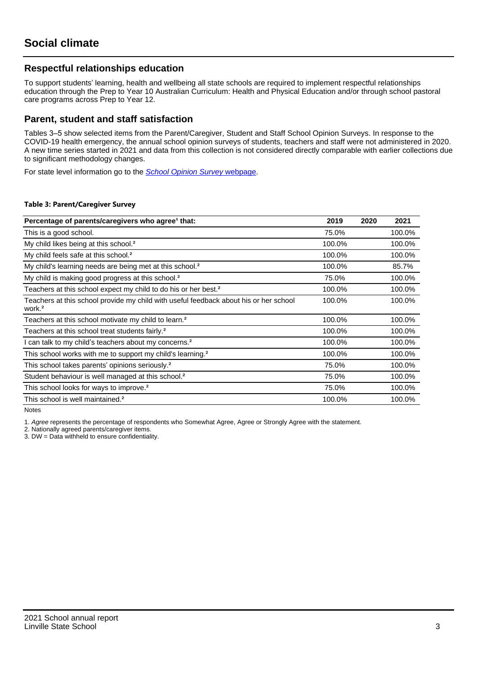## **Respectful relationships education**

To support students' learning, health and wellbeing all state schools are required to implement respectful relationships education through the Prep to Year 10 Australian Curriculum: Health and Physical Education and/or through school pastoral care programs across Prep to Year 12.

## **Parent, student and staff satisfaction**

Tables 3–5 show selected items from the Parent/Caregiver, Student and Staff School Opinion Surveys. In response to the COVID-19 health emergency, the annual school opinion surveys of students, teachers and staff were not administered in 2020. A new time series started in 2021 and data from this collection is not considered directly comparable with earlier collections due to significant methodology changes.

For state level information go to the **[School Opinion Survey](https://qed.qld.gov.au/publications/reports/statistics/schooling/schools/schoolopinionsurvey) webpage**.

### **Table 3: Parent/Caregiver Survey**

| Percentage of parents/caregivers who agree <sup>1</sup> that:                                               | 2019   | 2020 | 2021   |
|-------------------------------------------------------------------------------------------------------------|--------|------|--------|
| This is a good school.                                                                                      | 75.0%  |      | 100.0% |
| My child likes being at this school. <sup>2</sup>                                                           | 100.0% |      | 100.0% |
| My child feels safe at this school. <sup>2</sup>                                                            | 100.0% |      | 100.0% |
| My child's learning needs are being met at this school. <sup>2</sup>                                        | 100.0% |      | 85.7%  |
| My child is making good progress at this school. <sup>2</sup>                                               | 75.0%  |      | 100.0% |
| Teachers at this school expect my child to do his or her best. <sup>2</sup>                                 | 100.0% |      | 100.0% |
| Teachers at this school provide my child with useful feedback about his or her school<br>work. <sup>2</sup> | 100.0% |      | 100.0% |
| Teachers at this school motivate my child to learn. <sup>2</sup>                                            | 100.0% |      | 100.0% |
| Teachers at this school treat students fairly. <sup>2</sup>                                                 | 100.0% |      | 100.0% |
| I can talk to my child's teachers about my concerns. <sup>2</sup>                                           | 100.0% |      | 100.0% |
| This school works with me to support my child's learning. <sup>2</sup>                                      | 100.0% |      | 100.0% |
| This school takes parents' opinions seriously. <sup>2</sup>                                                 | 75.0%  |      | 100.0% |
| Student behaviour is well managed at this school. <sup>2</sup>                                              | 75.0%  |      | 100.0% |
| This school looks for ways to improve. <sup>2</sup>                                                         | 75.0%  |      | 100.0% |
| This school is well maintained. <sup>2</sup>                                                                | 100.0% |      | 100.0% |

Notes

1. Agree represents the percentage of respondents who Somewhat Agree, Agree or Strongly Agree with the statement.

2. Nationally agreed parents/caregiver items.

3. DW = Data withheld to ensure confidentiality.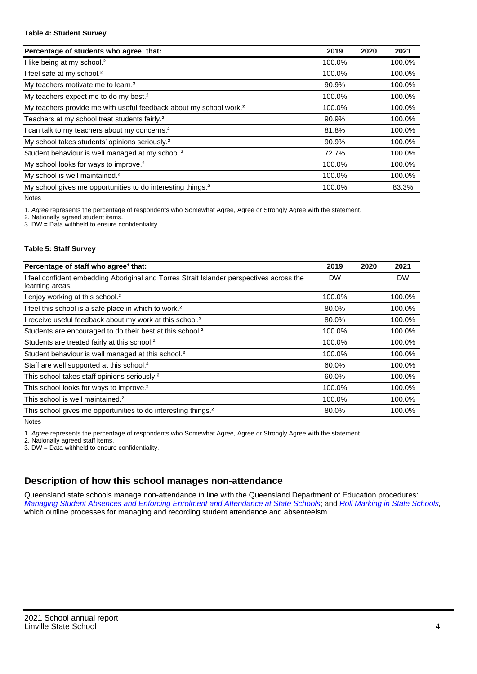### **Table 4: Student Survey**

| Percentage of students who agree <sup>1</sup> that:                            | 2019   | 2020 | 2021   |
|--------------------------------------------------------------------------------|--------|------|--------|
| I like being at my school. <sup>2</sup>                                        | 100.0% |      | 100.0% |
| I feel safe at my school. <sup>2</sup>                                         | 100.0% |      | 100.0% |
| My teachers motivate me to learn. <sup>2</sup>                                 | 90.9%  |      | 100.0% |
| My teachers expect me to do my best. <sup>2</sup>                              | 100.0% |      | 100.0% |
| My teachers provide me with useful feedback about my school work. <sup>2</sup> | 100.0% |      | 100.0% |
| Teachers at my school treat students fairly. <sup>2</sup>                      | 90.9%  |      | 100.0% |
| I can talk to my teachers about my concerns. <sup>2</sup>                      | 81.8%  |      | 100.0% |
| My school takes students' opinions seriously. <sup>2</sup>                     | 90.9%  |      | 100.0% |
| Student behaviour is well managed at my school. <sup>2</sup>                   | 72.7%  |      | 100.0% |
| My school looks for ways to improve. <sup>2</sup>                              | 100.0% |      | 100.0% |
| My school is well maintained. <sup>2</sup>                                     | 100.0% |      | 100.0% |
| My school gives me opportunities to do interesting things. <sup>2</sup>        | 100.0% |      | 83.3%  |

Notes

1. Agree represents the percentage of respondents who Somewhat Agree, Agree or Strongly Agree with the statement.

2. Nationally agreed student items.

3. DW = Data withheld to ensure confidentiality.

## **Table 5: Staff Survey**

| Percentage of staff who agree <sup>1</sup> that:                                                            | 2019      | 2020 | 2021      |
|-------------------------------------------------------------------------------------------------------------|-----------|------|-----------|
| I feel confident embedding Aboriginal and Torres Strait Islander perspectives across the<br>learning areas. | <b>DW</b> |      | <b>DW</b> |
| I enjoy working at this school. <sup>2</sup>                                                                | 100.0%    |      | 100.0%    |
| I feel this school is a safe place in which to work. <sup>2</sup>                                           | 80.0%     |      | 100.0%    |
| I receive useful feedback about my work at this school. <sup>2</sup>                                        | 80.0%     |      | 100.0%    |
| Students are encouraged to do their best at this school. <sup>2</sup>                                       | 100.0%    |      | 100.0%    |
| Students are treated fairly at this school. <sup>2</sup>                                                    | 100.0%    |      | 100.0%    |
| Student behaviour is well managed at this school. <sup>2</sup>                                              | 100.0%    |      | 100.0%    |
| Staff are well supported at this school. <sup>2</sup>                                                       | 60.0%     |      | 100.0%    |
| This school takes staff opinions seriously. <sup>2</sup>                                                    | 60.0%     |      | 100.0%    |
| This school looks for ways to improve. <sup>2</sup>                                                         | 100.0%    |      | 100.0%    |
| This school is well maintained. <sup>2</sup>                                                                | 100.0%    |      | 100.0%    |
| This school gives me opportunities to do interesting things. <sup>2</sup>                                   | 80.0%     |      | 100.0%    |

Notes

1. Agree represents the percentage of respondents who Somewhat Agree, Agree or Strongly Agree with the statement.

2. Nationally agreed staff items.

3. DW = Data withheld to ensure confidentiality.

# **Description of how this school manages non-attendance**

Queensland state schools manage non-attendance in line with the Queensland Department of Education procedures: [Managing Student Absences and Enforcing Enrolment and Attendance at State Schools](https://ppr.qed.qld.gov.au/pp/managing-student-absences-and-enforcing-enrolment-and-attendance-at-state-schools-procedure); and [Roll Marking in State Schools,](https://ppr.qed.qld.gov.au/pp/roll-marking-in-state-schools-procedure) which outline processes for managing and recording student attendance and absenteeism.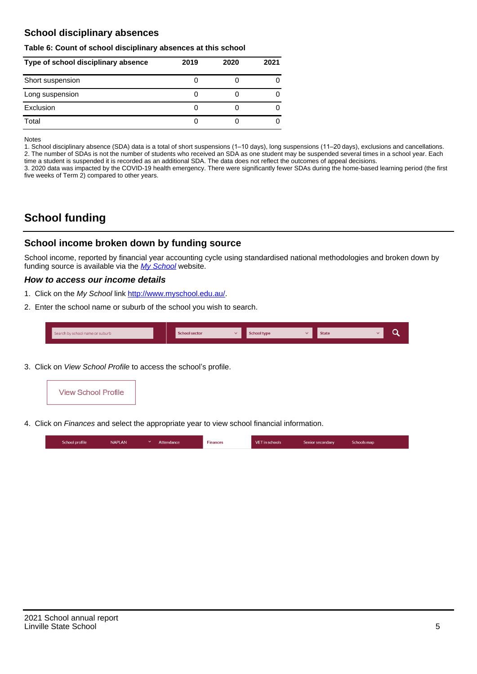## **School disciplinary absences**

### **Table 6: Count of school disciplinary absences at this school**

| Type of school disciplinary absence | 2019 | 2020 | 2021 |
|-------------------------------------|------|------|------|
| Short suspension                    |      |      |      |
| Long suspension                     |      |      |      |
| Exclusion                           |      |      |      |
| Total                               |      |      |      |

Notes

1. School disciplinary absence (SDA) data is a total of short suspensions (1–10 days), long suspensions (11–20 days), exclusions and cancellations. 2. The number of SDAs is not the number of students who received an SDA as one student may be suspended several times in a school year. Each time a student is suspended it is recorded as an additional SDA. The data does not reflect the outcomes of appeal decisions.

3. 2020 data was impacted by the COVID-19 health emergency. There were significantly fewer SDAs during the home-based learning period (the first five weeks of Term 2) compared to other years.

# **School funding**

## **School income broken down by funding source**

School income, reported by financial year accounting cycle using standardised national methodologies and broken down by funding source is available via the  $My$  School website.

## **How to access our income details**

- 1. Click on the My School link <http://www.myschool.edu.au/>.
- 2. Enter the school name or suburb of the school you wish to search.

|--|

3. Click on View School Profile to access the school's profile.



4. Click on Finances and select the appropriate year to view school financial information.

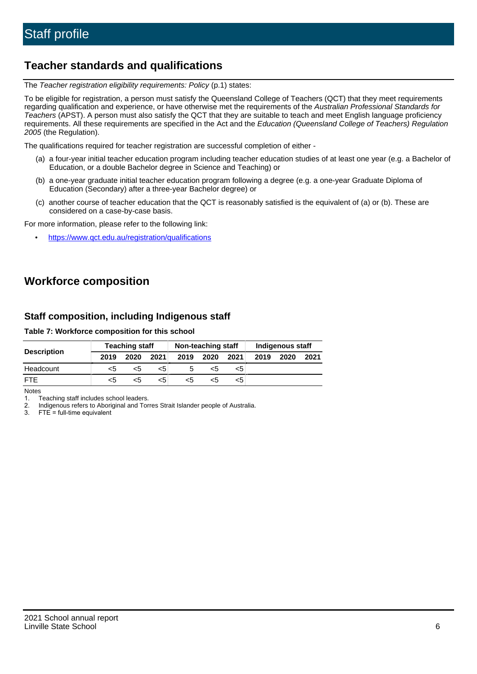# **Teacher standards and qualifications**

The Teacher registration eligibility requirements: Policy (p.1) states:

To be eligible for registration, a person must satisfy the Queensland College of Teachers (QCT) that they meet requirements regarding qualification and experience, or have otherwise met the requirements of the Australian Professional Standards for Teachers (APST). A person must also satisfy the QCT that they are suitable to teach and meet English language proficiency requirements. All these requirements are specified in the Act and the Education (Queensland College of Teachers) Regulation 2005 (the Regulation).

The qualifications required for teacher registration are successful completion of either -

- (a) a four-year initial teacher education program including teacher education studies of at least one year (e.g. a Bachelor of Education, or a double Bachelor degree in Science and Teaching) or
- (b) a one-year graduate initial teacher education program following a degree (e.g. a one-year Graduate Diploma of Education (Secondary) after a three-year Bachelor degree) or
- (c) another course of teacher education that the QCT is reasonably satisfied is the equivalent of (a) or (b). These are considered on a case-by-case basis.

For more information, please refer to the following link:

• <https://www.qct.edu.au/registration/qualifications>

# **Workforce composition**

## **Staff composition, including Indigenous staff**

## **Table 7: Workforce composition for this school**

|                    | <b>Teaching staff</b> |      | Non-teaching staff |      |      | Indigenous staff |      |      |      |
|--------------------|-----------------------|------|--------------------|------|------|------------------|------|------|------|
| <b>Description</b> | 2019                  | 2020 | 2021               | 2019 | 2020 | 2021             | 2019 | 2020 | 2021 |
| Headcount          | <5                    | <5   | <5                 |      | <5   | <5               |      |      |      |
| <b>FTF</b>         | <5                    | <5   | <5                 | <5   | <5   | <5               |      |      |      |

Notes

1. Teaching staff includes school leaders.

2. Indigenous refers to Aboriginal and Torres Strait Islander people of Australia.

3. FTE = full-time equivalent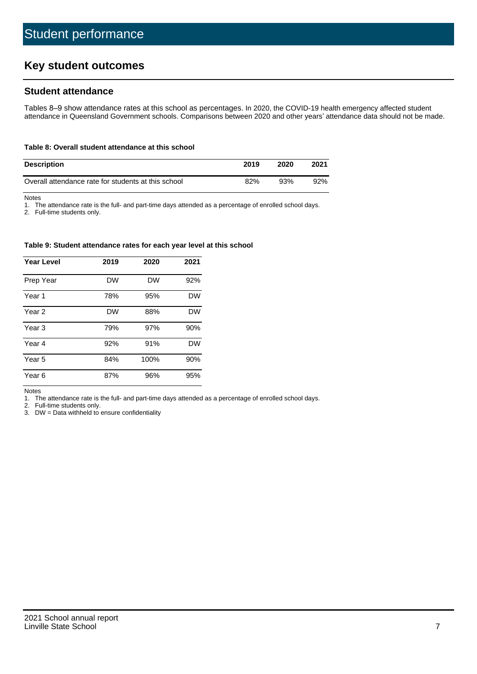# **Key student outcomes**

## **Student attendance**

Tables 8–9 show attendance rates at this school as percentages. In 2020, the COVID-19 health emergency affected student attendance in Queensland Government schools. Comparisons between 2020 and other years' attendance data should not be made.

#### **Table 8: Overall student attendance at this school**

| <b>Description</b>                                  | 2019 | 2020 | 2021 |
|-----------------------------------------------------|------|------|------|
| Overall attendance rate for students at this school | 82%  | 93%  | 92%  |

Notes

1. The attendance rate is the full- and part-time days attended as a percentage of enrolled school days.

2. Full-time students only.

#### **Table 9: Student attendance rates for each year level at this school**

| <b>Year Level</b> | 2019      | 2020      | 2021      |
|-------------------|-----------|-----------|-----------|
| Prep Year         | <b>DW</b> | <b>DW</b> | 92%       |
| Year 1            | 78%       | 95%       | <b>DW</b> |
| Year 2            | <b>DW</b> | 88%       | <b>DW</b> |
| Year <sub>3</sub> | 79%       | 97%       | 90%       |
| Year 4            | 92%       | 91%       | <b>DW</b> |
| Year 5            | 84%       | 100%      | 90%       |
| Year <sub>6</sub> | 87%       | 96%       | 95%       |

Notes

1. The attendance rate is the full- and part-time days attended as a percentage of enrolled school days.

2. Full-time students only.

3. DW = Data withheld to ensure confidentiality